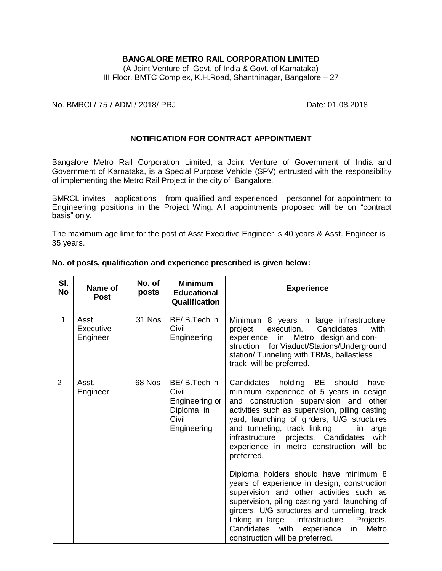## **BANGALORE METRO RAIL CORPORATION LIMITED**

(A Joint Venture of Govt. of India & Govt. of Karnataka) III Floor, BMTC Complex, K.H.Road, Shanthinagar, Bangalore – 27

No. BMRCL/ 75 / ADM / 2018/ PRJ Date: 01.08.2018

## **NOTIFICATION FOR CONTRACT APPOINTMENT**

Bangalore Metro Rail Corporation Limited, a Joint Venture of Government of India and Government of Karnataka, is a Special Purpose Vehicle (SPV) entrusted with the responsibility of implementing the Metro Rail Project in the city of Bangalore.

BMRCL invites applications from qualified and experienced personnel for appointment to Engineering positions in the Project Wing. All appointments proposed will be on "contract basis" only.

The maximum age limit for the post of Asst Executive Engineer is 40 years & Asst. Engineer is 35 years.

| SI.<br><b>No</b> | Name of<br><b>Post</b>        | No. of<br>posts | <b>Minimum</b><br><b>Educational</b><br>Qualification                         | <b>Experience</b>                                                                                                                                                                                                                                                                                                                                                                 |  |
|------------------|-------------------------------|-----------------|-------------------------------------------------------------------------------|-----------------------------------------------------------------------------------------------------------------------------------------------------------------------------------------------------------------------------------------------------------------------------------------------------------------------------------------------------------------------------------|--|
| 1                | Asst<br>Executive<br>Engineer | 31 Nos          | BE/B.Tech in<br>Civil<br>Engineering                                          | Minimum 8 years in large infrastructure<br>execution.<br>Candidates<br>with<br>project<br>experience in Metro design and con-<br>struction for Viaduct/Stations/Underground<br>station/ Tunneling with TBMs, ballastless<br>track will be preferred.                                                                                                                              |  |
| 2                | Asst.<br>Engineer             | 68 Nos          | BE/B.Tech in<br>Civil<br>Engineering or<br>Diploma in<br>Civil<br>Engineering | Candidates holding BE should<br>have<br>minimum experience of 5 years in design<br>and construction supervision and other<br>activities such as supervision, piling casting<br>yard, launching of girders, U/G structures<br>and tunneling, track linking<br>in large<br>projects. Candidates<br>infrastructure<br>with<br>experience in metro construction will be<br>preferred. |  |
|                  |                               |                 |                                                                               | Diploma holders should have minimum 8<br>years of experience in design, construction<br>supervision and other activities such as<br>supervision, piling casting yard, launching of<br>girders, U/G structures and tunneling, track<br>linking in large<br>infrastructure<br>Projects.<br>Metro<br>Candidates<br>with experience<br>in<br>construction will be preferred.          |  |

#### **No. of posts, qualification and experience prescribed is given below:**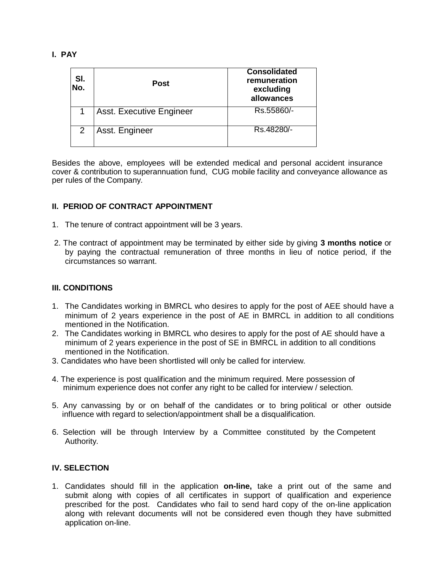## **I. PAY**

| SI.<br>No. | <b>Post</b>                     | <b>Consolidated</b><br>remuneration<br>excluding<br>allowances |
|------------|---------------------------------|----------------------------------------------------------------|
|            | <b>Asst. Executive Engineer</b> | Rs.55860/-                                                     |
|            | Asst. Engineer                  | Rs.48280/-                                                     |

Besides the above, employees will be extended medical and personal accident insurance cover & contribution to superannuation fund, CUG mobile facility and conveyance allowance as per rules of the Company.

## **II. PERIOD OF CONTRACT APPOINTMENT**

- 1. The tenure of contract appointment will be 3 years.
- 2. The contract of appointment may be terminated by either side by giving **3 months notice** or by paying the contractual remuneration of three months in lieu of notice period, if the circumstances so warrant.

## **III. CONDITIONS**

- 1. The Candidates working in BMRCL who desires to apply for the post of AEE should have a minimum of 2 years experience in the post of AE in BMRCL in addition to all conditions mentioned in the Notification.
- 2. The Candidates working in BMRCL who desires to apply for the post of AE should have a minimum of 2 years experience in the post of SE in BMRCL in addition to all conditions mentioned in the Notification.
- 3. Candidates who have been shortlisted will only be called for interview.
- 4. The experience is post qualification and the minimum required. Mere possession of minimum experience does not confer any right to be called for interview / selection.
- 5. Any canvassing by or on behalf of the candidates or to bring political or other outside influence with regard to selection/appointment shall be a disqualification.
- 6. Selection will be through Interview by a Committee constituted by the Competent Authority.

## **IV. SELECTION**

1. Candidates should fill in the application **on-line,** take a print out of the same and submit along with copies of all certificates in support of qualification and experience prescribed for the post. Candidates who fail to send hard copy of the on-line application along with relevant documents will not be considered even though they have submitted application on-line.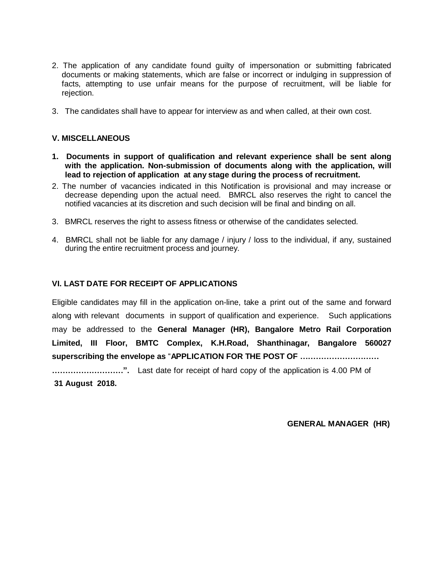- 2. The application of any candidate found guilty of impersonation or submitting fabricated documents or making statements, which are false or incorrect or indulging in suppression of facts, attempting to use unfair means for the purpose of recruitment, will be liable for rejection.
- 3. The candidates shall have to appear for interview as and when called, at their own cost.

#### **V. MISCELLANEOUS**

- **1. Documents in support of qualification and relevant experience shall be sent along with the application. Non-submission of documents along with the application, will lead to rejection of application at any stage during the process of recruitment.**
- 2. The number of vacancies indicated in this Notification is provisional and may increase or decrease depending upon the actual need. BMRCL also reserves the right to cancel the notified vacancies at its discretion and such decision will be final and binding on all.
- 3. BMRCL reserves the right to assess fitness or otherwise of the candidates selected.
- 4. BMRCL shall not be liable for any damage / injury / loss to the individual, if any, sustained during the entire recruitment process and journey.

## **VI. LAST DATE FOR RECEIPT OF APPLICATIONS**

Eligible candidates may fill in the application on-line, take a print out of the same and forward along with relevant documents in support of qualification and experience. Such applications may be addressed to the **General Manager (HR), Bangalore Metro Rail Corporation Limited, III Floor, BMTC Complex, K.H.Road, Shanthinagar, Bangalore 560027 superscribing the envelope as** "**APPLICATION FOR THE POST OF …………………………**

**………………………".** Last date for receipt of hard copy of the application is 4.00 PM of **31 August 2018.**

**GENERAL MANAGER (HR)**